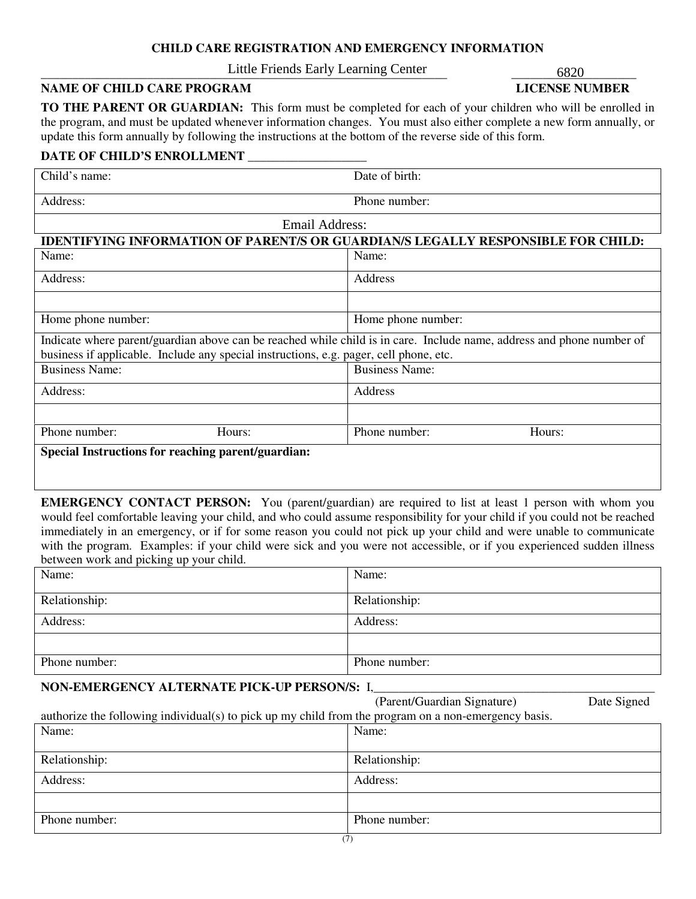## **CHILD CARE REGISTRATION AND EMERGENCY INFORMATION**

\_\_\_\_\_\_\_\_\_\_\_\_\_\_\_\_\_\_\_\_\_\_\_\_\_\_\_\_\_\_\_\_\_\_\_\_\_\_\_\_\_\_\_\_\_\_\_\_\_\_\_\_\_\_\_\_\_\_\_\_\_\_\_\_\_ \_\_\_\_\_\_\_\_\_\_\_\_\_\_\_\_\_\_\_\_ Little Friends Early Learning Center 6820

# **NAME OF CHILD CARE PROGRAM LICENSE NUMBER**

**TO THE PARENT OR GUARDIAN:** This form must be completed for each of your children who will be enrolled in the program, and must be updated whenever information changes. You must also either complete a new form annually, or update this form annually by following the instructions at the bottom of the reverse side of this form.

## **DATE OF CHILD'S ENROLLMENT** \_\_\_\_\_\_\_\_\_\_\_\_\_\_\_\_\_\_\_

| Child's name:                                                                                                         | Date of birth:                                                                   |  |  |  |
|-----------------------------------------------------------------------------------------------------------------------|----------------------------------------------------------------------------------|--|--|--|
| Address:                                                                                                              | Phone number:                                                                    |  |  |  |
| Email Address:                                                                                                        |                                                                                  |  |  |  |
|                                                                                                                       | IDENTIFYING INFORMATION OF PARENT/S OR GUARDIAN/S LEGALLY RESPONSIBLE FOR CHILD: |  |  |  |
| Name:                                                                                                                 | Name:                                                                            |  |  |  |
| Address:                                                                                                              | Address                                                                          |  |  |  |
|                                                                                                                       |                                                                                  |  |  |  |
| Home phone number:                                                                                                    | Home phone number:                                                               |  |  |  |
| Indicate where parent/guardian above can be reached while child is in care. Include name, address and phone number of |                                                                                  |  |  |  |
| business if applicable. Include any special instructions, e.g. pager, cell phone, etc.                                |                                                                                  |  |  |  |
| <b>Business Name:</b>                                                                                                 | <b>Business Name:</b>                                                            |  |  |  |
| Address:                                                                                                              | Address                                                                          |  |  |  |
|                                                                                                                       |                                                                                  |  |  |  |
| Phone number:<br>Hours:                                                                                               | Phone number:<br>Hours:                                                          |  |  |  |
| Special Instructions for reaching parent/guardian:                                                                    |                                                                                  |  |  |  |

**EMERGENCY CONTACT PERSON:** You (parent/guardian) are required to list at least 1 person with whom you would feel comfortable leaving your child, and who could assume responsibility for your child if you could not be reached immediately in an emergency, or if for some reason you could not pick up your child and were unable to communicate with the program. Examples: if your child were sick and you were not accessible, or if you experienced sudden illness between work and picking up your child.

| Name:         | Name:         |
|---------------|---------------|
| Relationship: | Relationship: |
| Address:      | Address:      |
|               |               |
| Phone number: | Phone number: |

# **NON-EMERGENCY ALTERNATE PICK-UP PERSON/S:** I,\_\_\_\_\_\_\_\_\_\_\_\_\_\_\_\_\_\_\_\_\_\_\_\_\_\_\_\_\_\_\_\_\_\_\_\_\_\_\_\_\_\_\_\_\_

|                                                                                                      | (Parent/Guardian Signature) | Date Signed |  |  |
|------------------------------------------------------------------------------------------------------|-----------------------------|-------------|--|--|
| authorize the following individual(s) to pick up my child from the program on a non-emergency basis. |                             |             |  |  |
| Name:                                                                                                | Name:                       |             |  |  |
|                                                                                                      |                             |             |  |  |
| Relationship:                                                                                        | Relationship:               |             |  |  |
| Address:                                                                                             | Address:                    |             |  |  |
|                                                                                                      |                             |             |  |  |
|                                                                                                      |                             |             |  |  |
| Phone number:                                                                                        | Phone number:               |             |  |  |